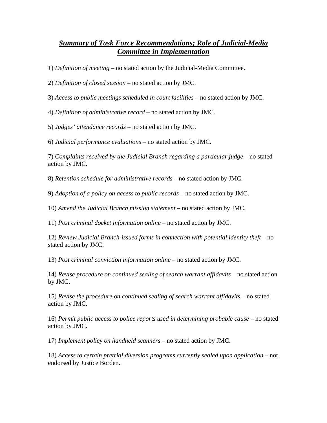## *Summary of Task Force Recommendations; Role of Judicial-Media Committee in Implementation*

1) *Definition of meeting* – no stated action by the Judicial-Media Committee.

2) *Definition of closed session* – no stated action by JMC.

3) *Access to public meetings scheduled in court facilities* – no stated action by JMC.

4) *Definition of administrative record* – no stated action by JMC.

5) *Judges' attendance records* – no stated action by JMC.

6) *Judicial performance evaluations* – no stated action by JMC.

7) *Complaints received by the Judicial Branch regarding a particular judge –* no stated action by JMC.

8) *Retention schedule for administrative records –* no stated action by JMC.

9) *Adoption of a policy on access to public records –* no stated action by JMC.

10) *Amend the Judicial Branch mission statement –* no stated action by JMC.

11) *Post criminal docket information online* – no stated action by JMC.

12) *Review Judicial Branch-issued forms in connection with potential identity theft –* no stated action by JMC.

13) *Post criminal conviction information online –* no stated action by JMC.

14) *Revise procedure on continued sealing of search warrant affidavits* – no stated action by JMC.

15) *Revise the procedure on continued sealing of search warrant affidavits –* no stated action by JMC.

16) *Permit public access to police reports used in determining probable cause –* no stated action by JMC.

17) *Implement policy on handheld scanners –* no stated action by JMC.

18) *Access to certain pretrial diversion programs currently sealed upon application –* not endorsed by Justice Borden.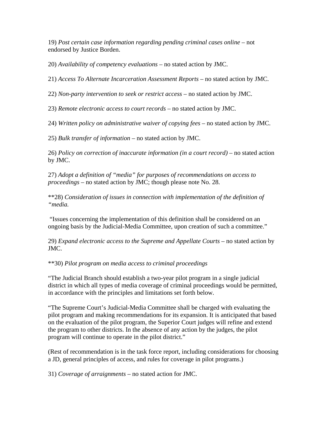19) *Post certain case information regarding pending criminal cases online –* not endorsed by Justice Borden.

20) *Availability of competency evaluations –* no stated action by JMC.

21) *Access To Alternate Incarceration Assessment Reports –* no stated action by JMC.

22) *Non-party intervention to seek or restrict access –* no stated action by JMC.

23) *Remote electronic access to court records –* no stated action by JMC.

24) *Written policy on administrative waiver of copying fees –* no stated action by JMC.

25) *Bulk transfer of information –* no stated action by JMC.

26) *Policy on correction of inaccurate information (in a court record) –* no stated action by JMC.

27) *Adopt a definition of "media" for purposes of recommendations on access to proceedings* – no stated action by JMC; though please note No. 28.

\*\*28) *Consideration of issues in connection with implementation of the definition of "media.* 

 "Issues concerning the implementation of this definition shall be considered on an ongoing basis by the Judicial-Media Committee, upon creation of such a committee."

29) *Expand electronic access to the Supreme and Appellate Courts –* no stated action by JMC.

\*\*30) *Pilot program on media access to criminal proceedings* 

"The Judicial Branch should establish a two-year pilot program in a single judicial district in which all types of media coverage of criminal proceedings would be permitted, in accordance with the principles and limitations set forth below.

"The Supreme Court's Judicial-Media Committee shall be charged with evaluating the pilot program and making recommendations for its expansion. It is anticipated that based on the evaluation of the pilot program, the Superior Court judges will refine and extend the program to other districts. In the absence of any action by the judges, the pilot program will continue to operate in the pilot district."

(Rest of recommendation is in the task force report, including considerations for choosing a JD, general principles of access, and rules for coverage in pilot programs.)

31) *Coverage of arraignments –* no stated action for JMC.